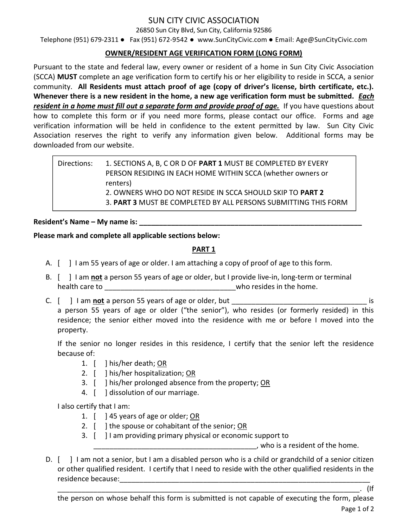# SUN CITY CIVIC ASSOCIATION

26850 Sun City Blvd, Sun City, California 92586

Telephone (951) 679-2311 ● Fax (951) 672-9542 ● www.SunCityCivic.com ● Email: Age@SunCityCivic.com

## OWNER/RESIDENT AGE VERIFICATION FORM (LONG FORM)

Pursuant to the state and federal law, every owner or resident of a home in Sun City Civic Association (SCCA) MUST complete an age verification form to certify his or her eligibility to reside in SCCA, a senior community. All Residents must attach proof of age (copy of driver's license, birth certificate, etc.). Whenever there is a new resident in the home, a new age verification form must be submitted. *Each* resident in a home must fill out a separate form and provide proof of age. If you have questions about how to complete this form or if you need more forms, please contact our office. Forms and age verification information will be held in confidence to the extent permitted by law. Sun City Civic Association reserves the right to verify any information given below. Additional forms may be downloaded from our website.

Directions: 1. SECTIONS A, B, C OR D OF PART 1 MUST BE COMPLETED BY EVERY PERSON RESIDING IN EACH HOME WITHIN SCCA (whether owners or renters) 2. OWNERS WHO DO NOT RESIDE IN SCCA SHOULD SKIP TO PART 2 3. PART 3 MUST BE COMPLETED BY ALL PERSONS SUBMITTING THIS FORM

## Resident's Name – My name is:

## Please mark and complete all applicable sections below:

# PART 1

- A. [ ] I am 55 years of age or older. I am attaching a copy of proof of age to this form.
- B. [ ] I am not a person 55 years of age or older, but I provide live-in, long-term or terminal health care to \_\_\_\_\_\_\_\_\_\_\_\_\_\_\_\_\_\_\_\_\_\_\_\_\_\_\_\_\_\_\_\_\_who resides in the home.
- C. [ ] I am not a person 55 years of age or older, but **can allocate the contract of a contract of a** is a person 55 years of age or older ("the senior"), who resides (or formerly resided) in this residence; the senior either moved into the residence with me or before I moved into the property.

If the senior no longer resides in this residence, I certify that the senior left the residence because of:

- 1. [ ] his/her death; OR
- 2. [ ] his/her hospitalization; OR
- 3. [ ] his/her prolonged absence from the property; OR
- 4. [ ] dissolution of our marriage.

I also certify that I am:

- 1. [ ] 45 years of age or older; OR
- 2. [ ] the spouse or cohabitant of the senior; OR
- 3. [ ] I am providing primary physical or economic support to

\_\_\_\_\_\_\_\_\_\_\_\_\_\_\_\_\_\_\_\_\_\_\_\_\_\_\_\_\_\_\_\_\_\_\_\_\_\_\_\_\_, who is a resident of the home.

D.  $\lceil \cdot \rceil$  I am not a senior, but I am a disabled person who is a child or grandchild of a senior citizen or other qualified resident. I certify that I need to reside with the other qualified residents in the residence because:

\_\_\_\_\_\_\_\_\_\_\_\_\_\_\_\_\_\_\_\_\_\_\_\_\_\_\_\_\_\_\_\_\_\_\_\_\_\_\_\_\_\_\_\_\_\_\_\_\_\_\_\_\_\_\_\_\_\_\_\_\_\_\_\_\_\_\_\_\_\_\_\_\_\_\_\_. (If